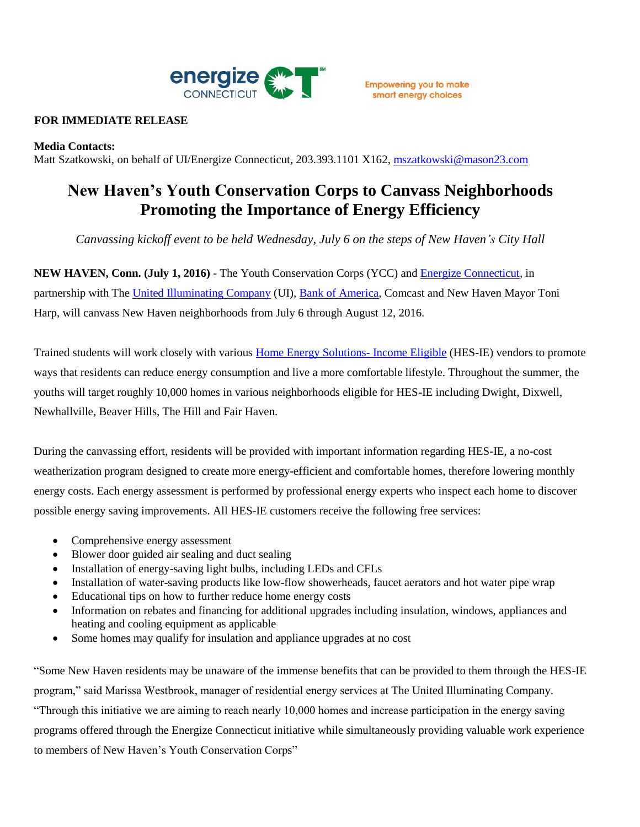

## **FOR IMMEDIATE RELEASE**

### **Media Contacts:**

Matt Szatkowski, on behalf of UI/Energize Connecticut, 203.393.1101 X162, [mszatkowski@mason23.com](mailto:mszatkowski@mason23.com)

# **New Haven's Youth Conservation Corps to Canvass Neighborhoods Promoting the Importance of Energy Efficiency**

*Canvassing kickoff event to be held Wednesday, July 6 on the steps of New Haven's City Hall*

**NEW HAVEN, Conn. (July 1, 2016)** - The Youth Conservation Corps (YCC) and [Energize Connecticut,](http://www.energizect.com/?vsrefdom=public-relations&utm_campaign=new-haven-canvassing-advisory&utm_medium=public-relations&utm_source=ui-media-list&utm_content=&utm_term=) in partnership with The [United Illuminating Company](http://www.uinet.com/?vsrefdom=public-relations&utm_campaign=new-haven-canvassing-advisory&utm_medium=public-relations&utm_source=ui-media-list&utm_content=&utm_term=) (UI), [Bank of America,](https://www.bankofamerica.com/?vsrefdom=public-relations&utm_campaign=new-haven-canvassing-advisory&utm_medium=public-relations&utm_source=ui-media-list&utm_content=&utm_term=) Comcast and New Haven Mayor Toni Harp, will canvass New Haven neighborhoods from July 6 through August 12, 2016.

Trained students will work closely with various [Home Energy Solutions-](http://www.energizect.com/your-home/solutions-list/save-energy-and-money-all-year-long?vsrefdom=public-relations&utm_campaign=new-haven-canvassing-advisory&utm_medium=public-relations&utm_source=ui-media-list&utm_content=&utm_term=) Income Eligible (HES-IE) vendors to promote ways that residents can reduce energy consumption and live a more comfortable lifestyle. Throughout the summer, the youths will target roughly 10,000 homes in various neighborhoods eligible for HES-IE including Dwight, Dixwell, Newhallville, Beaver Hills, The Hill and Fair Haven.

During the canvassing effort, residents will be provided with important information regarding HES-IE, a no-cost weatherization program designed to create more energy-efficient and comfortable homes, therefore lowering monthly energy costs. Each energy assessment is performed by professional energy experts who inspect each home to discover possible energy saving improvements. All HES-IE customers receive the following free services:

- Comprehensive energy assessment
- Blower door guided air sealing and duct sealing
- Installation of energy-saving light bulbs, including LEDs and CFLs
- Installation of water-saving products like low-flow showerheads, faucet aerators and hot water pipe wrap
- Educational tips on how to further reduce home energy costs
- Information on rebates and financing for additional upgrades including insulation, windows, appliances and heating and cooling equipment as applicable
- Some homes may qualify for insulation and appliance upgrades at no cost

"Some New Haven residents may be unaware of the immense benefits that can be provided to them through the HES-IE program," said Marissa Westbrook, manager of residential energy services at The United Illuminating Company. "Through this initiative we are aiming to reach nearly 10,000 homes and increase participation in the energy saving programs offered through the Energize Connecticut initiative while simultaneously providing valuable work experience to members of New Haven's Youth Conservation Corps"